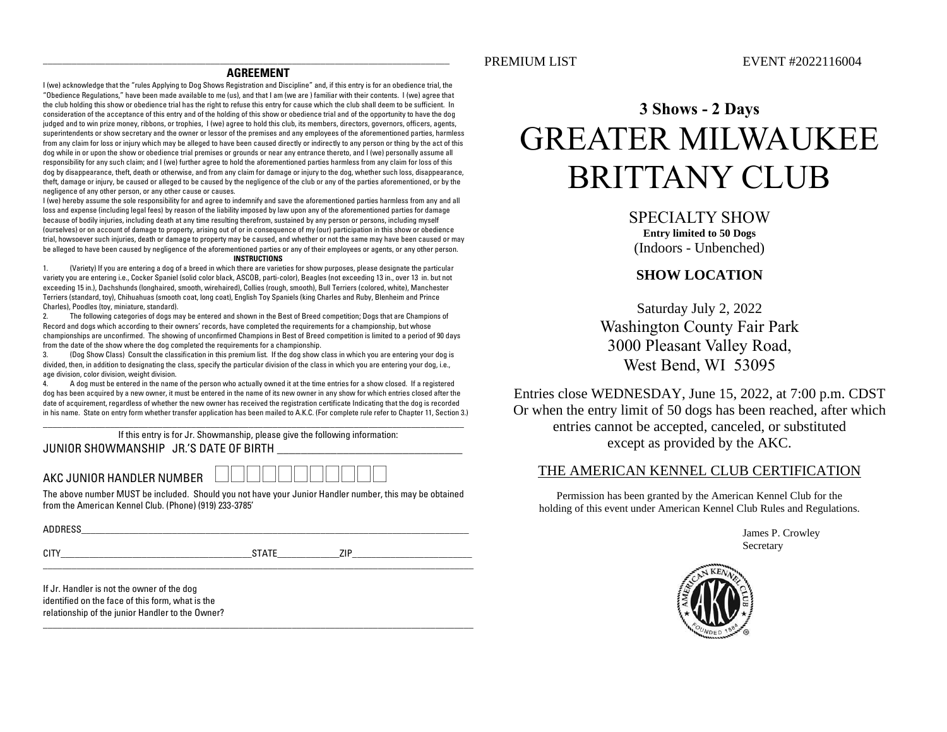#### **AGREEMENT**

I (we) acknowledge that the "rules Applying to Dog Shows Registration and Discipline" and, if this entry is for an obedience trial, the "Obedience Regulations," have been made available to me (us), and that I am (we are ) familiar with their contents. I (we) agree that the club holding this show or obedience trial has the right to refuse this entry for cause which the club shall deem to be sufficient. In consideration of the acceptance of this entry and of the holding of this show or obedience trial and of the opportunity to have the dog judged and to win prize money, ribbons, or trophies, I (we) agree to hold this club, its members, directors, governors, officers, agents, superintendents or show secretary and the owner or lessor of the premises and any employees of the aforementioned parties, harmless from any claim for loss or injury which may be alleged to have been caused directly or indirectly to any person or thing by the act of this dog while in or upon the show or obedience trial premises or grounds or near any entrance thereto, and I (we) personally assume all responsibility for any such claim; and I (we) further agree to hold the aforementioned parties harmless from any claim for loss of this dog by disappearance, theft, death or otherwise, and from any claim for damage or injury to the dog, whether such loss, disappearance, theft, damage or injury, be caused or alleged to be caused by the negligence of the club or any of the parties aforementioned, or by the negligence of any other person, or any other cause or causes.

I (we) hereby assume the sole responsibility for and agree to indemnify and save the aforementioned parties harmless from any and all loss and expense (including legal fees) by reason of the liability imposed by law upon any of the aforementioned parties for damage because of bodily injuries, including death at any time resulting therefrom, sustained by any person or persons, including myself (ourselves) or on account of damage to property, arising out of or in consequence of my (our) participation in this show or obedience trial, howsoever such injuries, death or damage to property may be caused, and whether or not the same may have been caused or may be alleged to have been caused by negligence of the aforementioned parties or any of their employees or agents, or any other person.

#### **INSTRUCTIONS**

1. (Variety) If you are entering a dog of a breed in which there are varieties for show purposes, please designate the particular variety you are entering i.e., Cocker Spaniel (solid color black, ASCOB, parti-color), Beagles (not exceeding 13 in., over 13 in. but not exceeding 15 in.), Dachshunds (longhaired, smooth, wirehaired), Collies (rough, smooth), Bull Terriers (colored, white), Manchester Terriers (standard, toy), Chihuahuas (smooth coat, long coat), English Toy Spaniels (king Charles and Ruby, Blenheim and Prince Charles), Poodles (toy, miniature, standard).

2. The following categories of dogs may be entered and shown in the Best of Breed competition; Dogs that are Champions of Record and dogs which according to their owners' records, have completed the requirements for a championship, but whose championships are unconfirmed. The showing of unconfirmed Champions in Best of Breed competition is limited to a period of 90 days from the date of the show where the dog completed the requirements for a championship.

3. (Dog Show Class) Consult the classification in this premium list. If the dog show class in which you are entering your dog is divided, then, in addition to designating the class, specify the particular division of the class in which you are entering your dog, i.e., age division, color division, weight division.

4. A dog must be entered in the name of the person who actually owned it at the time entries for a show closed. If a registered dog has been acquired by a new owner, it must be entered in the name of its new owner in any show for which entries closed after the date of acquirement, regardless of whether the new owner has received the registration certificate Indicating that the dog is recorded in his name. State on entry form whether transfer application has been mailed to A.K.C. (For complete rule refer to Chapter 11, Section 3.)

\_\_\_\_\_\_\_\_\_\_\_\_\_\_\_\_\_\_\_\_\_\_\_\_\_\_\_\_\_\_\_\_\_\_\_\_\_\_\_\_\_\_\_\_\_\_\_\_\_\_\_\_\_\_\_\_\_\_\_\_\_\_\_\_\_\_\_\_\_\_\_\_\_\_\_\_\_\_\_\_\_\_\_\_\_\_\_\_

If this entry is for Jr. Showmanship, please give the following information: JUNIOR SHOWMANSHIP JR.'S DATE OF BIRTH

AKC JUNIOR HANDLER NUMBER

The above number MUST be included. Should you not have your Junior Handler number, this may be obtained from the American Kennel Club. (Phone) (919) 233-3785'

| <b>ADDRESS</b><br><b>JRESS</b> |                    |     |
|--------------------------------|--------------------|-----|
|                                |                    |     |
| 017<br>ull                     | $\cdots$<br>ັ<br>. | חול |

 $\_$  ,  $\_$  ,  $\_$  ,  $\_$  ,  $\_$  ,  $\_$  ,  $\_$  ,  $\_$  ,  $\_$  ,  $\_$  ,  $\_$  ,  $\_$  ,  $\_$  ,  $\_$  ,  $\_$  ,  $\_$  ,  $\_$  ,  $\_$  ,  $\_$  ,  $\_$  ,  $\_$  ,  $\_$  ,  $\_$  ,  $\_$  ,  $\_$  ,  $\_$  ,  $\_$  ,  $\_$  ,  $\_$  ,  $\_$  ,  $\_$  ,  $\_$  ,  $\_$  ,  $\_$  ,  $\_$  ,  $\_$  ,  $\_$  ,

 $\_$  ,  $\_$  ,  $\_$  ,  $\_$  ,  $\_$  ,  $\_$  ,  $\_$  ,  $\_$  ,  $\_$  ,  $\_$  ,  $\_$  ,  $\_$  ,  $\_$  ,  $\_$  ,  $\_$  ,  $\_$  ,  $\_$  ,  $\_$  ,  $\_$  ,  $\_$  ,  $\_$  ,  $\_$  ,  $\_$  ,  $\_$  ,  $\_$  ,  $\_$  ,  $\_$  ,  $\_$  ,  $\_$  ,  $\_$  ,  $\_$  ,  $\_$  ,  $\_$  ,  $\_$  ,  $\_$  ,  $\_$  ,  $\_$  ,

If Jr. Handler is not the owner of the dog identified on the face of this form, what is the relationship of the junior Handler to the Owner?

## **3 Shows - 2 Days** GREATER MILWAUKEE

# BRITTANY CLUB

SPECIALTY SHOW **Entry limited to 50 Dogs** (Indoors - Unbenched)

### **SHOW LOCATION**

Saturday July 2, 2022 Washington County Fair Park 3000 Pleasant Valley Road, West Bend, WI 53095

Entries close WEDNESDAY, June 15, 2022, at 7:00 p.m. CDST Or when the entry limit of 50 dogs has been reached, after which entries cannot be accepted, canceled, or substituted except as provided by the AKC.

#### THE AMERICAN KENNEL CLUB CERTIFICATION

Permission has been granted by the American Kennel Club for the holding of this event under American Kennel Club Rules and Regulations.

> James P. Crowley Secretary

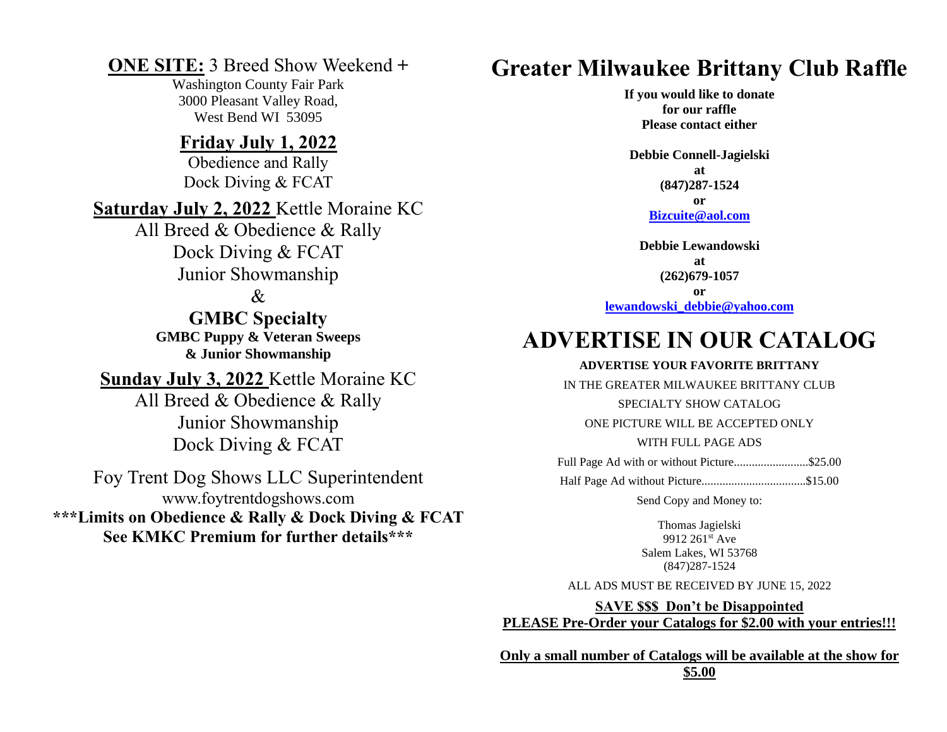### **ONE SITE:** 3 Breed Show Weekend **+**

Washington County Fair Park 3000 Pleasant Valley Road, West Bend WI 53095

### **Friday July 1, 2022**

Obedience and Rally Dock Diving & FCAT

**Saturday July 2, 2022** Kettle Moraine KC

All Breed & Obedience & Rally Dock Diving & FCAT Junior Showmanship

### &

**GMBC Specialty GMBC Puppy & Veteran Sweeps & Junior Showmanship**

**Sunday July 3, 2022** Kettle Moraine KC

All Breed & Obedience & Rally Junior Showmanship Dock Diving & FCAT

Foy Trent Dog Shows LLC Superintendent www.foytrentdogshows.com **\*\*\*Limits on Obedience & Rally & Dock Diving & FCAT See KMKC Premium for further details\*\*\***

## **Greater Milwaukee Brittany Club Raffle**

**If you would like to donate for our raffle Please contact either**

**Debbie Connell-Jagielski at (847)287-1524 or [Bizcuite@aol.com](mailto:Bizcuite@aol.com)**

**Debbie Lewandowski at (262)679-1057 or**

**[lewandowski\\_debbie@yahoo.com](mailto:lewandowski_debbie@yahoo.com)**

## **ADVERTISE IN OUR CATALOG**

#### **ADVERTISE YOUR FAVORITE BRITTANY**

IN THE GREATER MILWAUKEE BRITTANY CLUB

SPECIALTY SHOW CATALOG

ONE PICTURE WILL BE ACCEPTED ONLY

WITH FULL PAGE ADS

Full Page Ad with or without Picture........................\$25.00

Half Page Ad without Picture...................................\$15.00

Send Copy and Money to:

Thomas Jagielski 9912 261st Ave Salem Lakes, WI 53768 (847)287-1524

ALL ADS MUST BE RECEIVED BY JUNE 15, 2022

**SAVE \$\$\$ Don't be Disappointed PLEASE Pre-Order your Catalogs for \$2.00 with your entries!!!**

**Only a small number of Catalogs will be available at the show for \$5.00**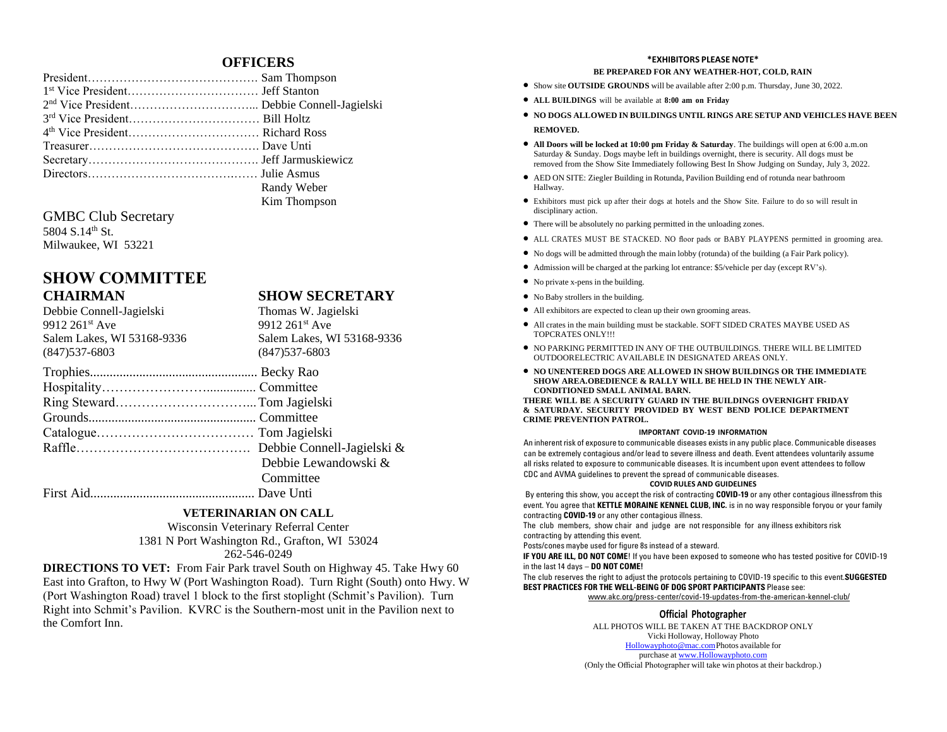#### **OFFICERS**

| Randy Weber  |
|--------------|
| Kim Thompson |

GMBC Club Secretary 5804 S.14<sup>th</sup> St. Milwaukee, WI 53221

### **SHOW COMMITTEE CHAIRMAN SHOW SECRETARY**

Debbie Connell-Jagielski Thomas W. Jagielski 9912 261<sup>st</sup> Ave 9912 261<sup>st</sup> Ave Salem Lakes, WI 53168-9336 Salem Lakes, WI 53168-9336 (847)537-6803 (847)537-6803 Trophies................................................... Becky Rao Hospitality……………………............... Committee Ring Steward…………………………...Tom Jagielski Grounds................................................... Committee Catalogue……………………………… Tom Jagielski Raffle…………………………………. Debbie Connell-Jagielski & Debbie Lewandowski & **Committee** First Aid.................................................. Dave Unti

#### **VETERINARIAN ON CALL**

Wisconsin Veterinary Referral Center 1381 N Port Washington Rd., Grafton, WI 53024 262-546-0249

**DIRECTIONS TO VET:** From Fair Park travel South on Highway 45. Take Hwy 60 East into Grafton, to Hwy W (Port Washington Road). Turn Right (South) onto Hwy. W (Port Washington Road) travel 1 block to the first stoplight (Schmit's Pavilion). Turn Right into Schmit's Pavilion. KVRC is the Southern-most unit in the Pavilion next to the Comfort Inn.

#### **\*EXHIBITORS PLEASE NOTE\* BE PREPARED FOR ANY WEATHER-HOT, COLD, RAIN**

- Show site **OUTSIDE GROUNDS** will be available after 2:00 p.m. Thursday, June 30, 2022.
- **ALL BUILDINGS** will be available at **8:00 am on Friday**
- **NO DOGS ALLOWED IN BUILDINGS UNTIL RINGS ARE SETUP AND VEHICLES HAVE BEEN REMOVED.**
- **All Doors will be locked at 10:00 pm Friday & Saturday**. The buildings will open at 6:00 a.m.on Saturday & Sunday. Dogs maybe left in buildings overnight, there is security. All dogs must be removed from the Show Site Immediately following Best In Show Judging on Sunday, July 3, 2022.
- AED ON SITE: Ziegler Building in Rotunda, Pavilion Building end of rotunda near bathroom Hallway.
- Exhibitors must pick up after their dogs at hotels and the Show Site. Failure to do so will result in disciplinary action.
- There will be absolutely no parking permitted in the unloading zones.
- ALL CRATES MUST BE STACKED. NO floor pads or BABY PLAYPENS permitted in grooming area.
- No dogs will be admitted through the main lobby (rotunda) of the building (a Fair Park policy).
- Admission will be charged at the parking lot entrance: \$5/vehicle per day (except RV's).
- No private x-pens in the building.
- No Baby strollers in the building.
- All exhibitors are expected to clean up their own grooming areas.
- All crates in the main building must be stackable. SOFT SIDED CRATES MAYBE USED AS TOPCRATES ONLY!!!
- NO PARKING PERMITTED IN ANY OF THE OUTBUILDINGS. THERE WILL BE LIMITED OUTDOORELECTRIC AVAILABLE IN DESIGNATED AREAS ONLY.
- **NO UNENTERED DOGS ARE ALLOWED IN SHOW BUILDINGS OR THE IMMEDIATE SHOW AREA.OBEDIENCE & RALLY WILL BE HELD IN THE NEWLY AIR-CONDITIONED SMALL ANIMAL BARN.**

**THERE WILL BE A SECURITY GUARD IN THE BUILDINGS OVERNIGHT FRIDAY & SATURDAY. SECURITY PROVIDED BY WEST BEND POLICE DEPARTMENT CRIME PREVENTION PATROL.**

#### **IMPORTANT COVID-19 INFORMATION**

An inherent risk of exposure to communicable diseases exists in any public place. Communicable diseases can be extremely contagious and/or lead to severe illness and death. Event attendees voluntarily assume all risks related to exposure to communicable diseases. It is incumbent upon event attendees to follow CDC and AVMA guidelines to prevent the spread of communicable diseases.

#### **COVID RULES AND GUIDELINES**

By entering this show, you accept the risk of contracting **COVID-19** or any other contagious illnessfrom this event. You agree that **KETTLE MORAINE KENNEL CLUB, INC.** is in no way responsible foryou or your family contracting **COVID-19** or any other contagious illness.

The club members, show chair and judge are not responsible for any illness exhibitors risk contracting by attending this event.

Posts/cones maybe used for figure 8s instead of a steward.

**IF YOU ARE ILL, DO NOT COME**! If you have been exposed to someone who has tested positive for COVID-19 in the last 14 days – **DO NOT COME!**

The club reserves the right to adjust the protocols pertaining to COVID-19 specific to this event.**SUGGESTED BEST PRACTICES FOR THE WELL-BEING OF DOG SPORT PARTICIPANTS** Please see:

[www.akc.org/press-center/covid-19-updates-from-the-american-kennel-club/](http://www.akc.org/press-center/covid-19-updates-from-the-american-kennel-club/)

#### **Official Photographer**

ALL PHOTOS WILL BE TAKEN AT THE BACKDROP ONLY Vicki Holloway, Holloway Photo [Hollowayphoto@mac.comP](mailto:Hollowayphoto@mac.com)hotos available for purchase at [www.Hollowayphoto.com](http://www.hollowayphoto.com/) (Only the Official Photographer will take win photos at their backdrop.)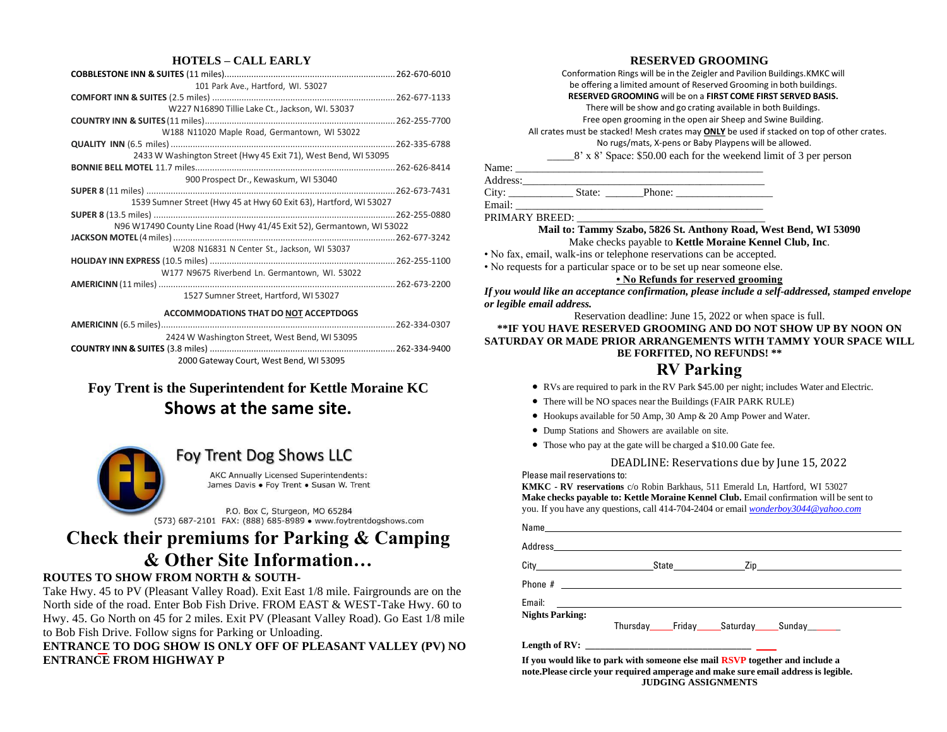#### **HOTELS – CALL EARLY**

| 101 Park Ave., Hartford, WI. 53027                                    |  |
|-----------------------------------------------------------------------|--|
|                                                                       |  |
| W227 N16890 Tillie Lake Ct., Jackson, WI. 53037                       |  |
|                                                                       |  |
| W188 N11020 Maple Road, Germantown, WI 53022                          |  |
|                                                                       |  |
| 2433 W Washington Street (Hwy 45 Exit 71), West Bend, WI 53095        |  |
|                                                                       |  |
| 900 Prospect Dr., Kewaskum, WI 53040                                  |  |
|                                                                       |  |
| 1539 Sumner Street (Hwy 45 at Hwy 60 Exit 63), Hartford, WI 53027     |  |
|                                                                       |  |
| N96 W17490 County Line Road (Hwy 41/45 Exit 52), Germantown, WI 53022 |  |
|                                                                       |  |
| W208 N16831 N Center St., Jackson, WI 53037                           |  |
|                                                                       |  |
| W177 N9675 Riverbend Ln. Germantown, WI. 53022                        |  |
|                                                                       |  |
| 1527 Sumner Street, Hartford, WI 53027                                |  |
| <b>ACCOMMODATIONS THAT DO NOT ACCEPTDOGS</b>                          |  |
|                                                                       |  |
| 2424 W Washington Street, West Bend, WI 53095                         |  |
|                                                                       |  |
| 2000 Gateway Court, West Bend, WI 53095                               |  |
|                                                                       |  |

### **Foy Trent is the Superintendent for Kettle Moraine KC Shows at the same site.**



### Foy Trent Dog Shows LLC

AKC Annually Licensed Superintendents: James Davis . Foy Trent . Susan W. Trent

P.O. Box C, Sturgeon, MO 65284 (573) 687-2101 FAX: (888) 685-8989 · www.foytrentdogshows.com

### **Check their premiums for Parking & Camping & Other Site Information…**

#### **ROUTES TO SHOW FROM NORTH & SOUTH-**

Take Hwy. 45 to PV (Pleasant Valley Road). Exit East 1/8 mile. Fairgrounds are on the North side of the road. Enter Bob Fish Drive. FROM EAST & WEST-Take Hwy. 60 to Hwy. 45. Go North on 45 for 2 miles. Exit PV (Pleasant Valley Road). Go East 1/8 mile to Bob Fish Drive. Follow signs for Parking or Unloading.

**ENTRANCE TO DOG SHOW IS ONLY OFF OF PLEASANT VALLEY (PV) NO ENTRANCE FROM HIGHWAY P**

#### **RESERVED GROOMING**

Conformation Rings will be in the Zeigler and Pavilion Buildings.KMKC will be offering a limited amount of Reserved Grooming in both buildings.

### **RESERVED GROOMING** will be on a **FIRST COME FIRST SERVED BASIS.**

There will be show and go crating available in both Buildings.

Free open grooming in the open air Sheep and Swine Building.

All crates must be stacked! Mesh crates may **ONLY** be used if stacked on top of other crates.

No rugs/mats, X-pens or Baby Playpens will be allowed. \_\_\_\_\_8' x 8' Space: \$50.00 each for the weekend limit of 3 per person

Name: \_\_\_\_\_\_\_\_\_\_\_\_\_\_\_\_\_\_\_\_\_\_\_\_\_\_\_\_\_\_\_\_\_\_\_\_\_\_\_\_\_\_\_\_\_\_

| $- + -$ | D <sub>max</sub> |  |
|---------|------------------|--|

City: \_\_\_\_\_\_\_\_\_\_\_\_ State: \_\_\_\_\_\_\_Phone: \_\_\_\_\_\_\_\_\_\_\_\_\_\_\_\_\_\_ Email: \_\_\_\_\_\_\_\_\_\_\_\_\_\_\_\_\_\_\_\_\_\_\_\_\_\_\_\_\_\_\_\_\_\_\_\_\_\_\_\_\_\_\_\_\_\_

PRIMARY BREED:

#### **Mail to: Tammy Szabo, 5826 St. Anthony Road, West Bend, WI 53090** Make checks payable to **Kettle Moraine Kennel Club, Inc**.

• No fax, email, walk-ins or telephone reservations can be accepted.

• No requests for a particular space or to be set up near someone else.

**• No Refunds for reserved grooming**

*If you would like an acceptance confirmation, please include a self-addressed, stamped envelope or legible email address.* 

#### Reservation deadline: June 15, 2022 or when space is full. **\*\*IF YOU HAVE RESERVED GROOMING AND DO NOT SHOW UP BY NOON ON SATURDAY OR MADE PRIOR ARRANGEMENTS WITH TAMMY YOUR SPACE WILL BE FORFITED, NO REFUNDS! \*\***

### **RV Parking**

- RVs are required to park in the RV Park \$45.00 per night; includes Water and Electric.
- There will be NO spaces near the Buildings (FAIR PARK RULE)
- Hookups available for 50 Amp, 30 Amp & 20 Amp Power and Water.
- Dump Stations and Showers are available on site.
- Those who pay at the gate will be charged a \$10.00 Gate fee.

#### DEADLINE: Reservations due by June 15, 2022

Please mail reservations to:

**KMKC - RV reservations** c/o Robin Barkhaus, 511 Emerald Ln, Hartford, WI 53027 **Make checks payable to: Kettle Moraine Kennel Club.** Email confirmation will be sent to you. If you have any questions, call 414-704-2404 or email *[wonderboy3044@yahoo.com](mailto:wonderboy3044@yahoo.com)*

|                        | Name and the contract of the contract of the contract of the contract of the contract of the contract of the contract of the contract of the contract of the contract of the contract of the contract of the contract of the c |  |
|------------------------|--------------------------------------------------------------------------------------------------------------------------------------------------------------------------------------------------------------------------------|--|
|                        | Address and the contract of the contract of the contract of the contract of the contract of the contract of the                                                                                                                |  |
|                        |                                                                                                                                                                                                                                |  |
|                        |                                                                                                                                                                                                                                |  |
|                        |                                                                                                                                                                                                                                |  |
| <b>Nights Parking:</b> | Thursday Friday Saturday Sunday L                                                                                                                                                                                              |  |
|                        |                                                                                                                                                                                                                                |  |

**If you would like to park with someone else mail RSVP together and include a note.Please circle your required amperage and make sure email address is legible. JUDGING ASSIGNMENTS**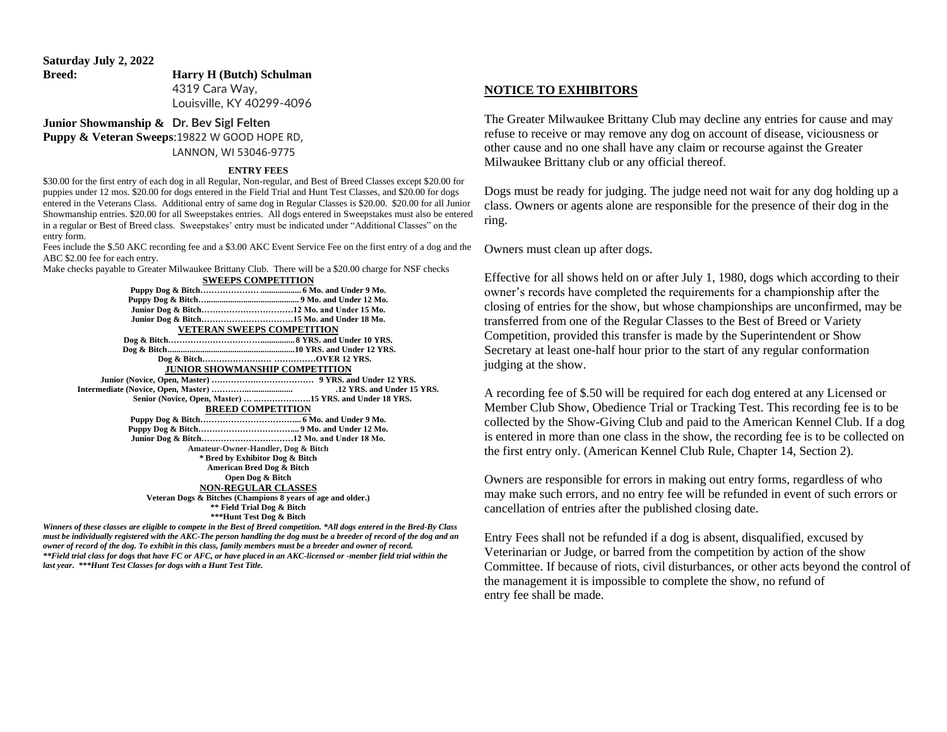**Saturday July 2, 2022 Breed: Harry H (Butch) Schulman** 4319 Cara Way, Louisville, KY 40299-4096

#### **Junior Showmanship & Dr. Bev Sigl Felten Puppy & Veteran Sweeps**:19822 W GOOD HOPE RD, LANNON, WI 53046-9775

#### **ENTRY FEES**

\$30.00 for the first entry of each dog in all Regular, Non-regular, and Best of Breed Classes except \$20.00 for puppies under 12 mos. \$20.00 for dogs entered in the Field Trial and Hunt Test Classes, and \$20.00 for dogs entered in the Veterans Class. Additional entry of same dog in Regular Classes is \$20.00. \$20.00 for all Junior Showmanship entries. \$20.00 for all Sweepstakes entries. All dogs entered in Sweepstakes must also be entered in a regular or Best of Breed class. Sweepstakes' entry must be indicated under "Additional Classes" on the entry form.

Fees include the \$.50 AKC recording fee and a \$3.00 AKC Event Service Fee on the first entry of a dog and the ABC \$2.00 fee for each entry.

Make checks payable to Greater Milwaukee Brittany Club. There will be a \$20.00 charge for NSF checks **SWEEPS COMPETITION**

| <b>DALED O COMILETITION</b>                                                                                               |
|---------------------------------------------------------------------------------------------------------------------------|
|                                                                                                                           |
|                                                                                                                           |
|                                                                                                                           |
|                                                                                                                           |
| <b>VETERAN SWEEPS COMPETITION</b>                                                                                         |
|                                                                                                                           |
|                                                                                                                           |
|                                                                                                                           |
| <b>JUNIOR SHOWMANSHIP COMPETITION</b>                                                                                     |
|                                                                                                                           |
|                                                                                                                           |
| Senior (Novice, Open, Master)  15 YRS. and Under 18 YRS.                                                                  |
| <b>BREED COMPETITION</b>                                                                                                  |
|                                                                                                                           |
|                                                                                                                           |
|                                                                                                                           |
| Amateur-Owner-Handler, Dog & Bitch                                                                                        |
| * Bred by Exhibitor Dog & Bitch                                                                                           |
| American Bred Dog & Bitch                                                                                                 |
| Open Dog & Bitch                                                                                                          |
| <b>NON-REGULAR CLASSES</b>                                                                                                |
| Veteran Dogs & Bitches (Champions 8 years of age and older.)                                                              |
| ** Field Trial Dog & Bitch                                                                                                |
| ***Hunt Test Dog & Bitch                                                                                                  |
| Winners of these classes are eligible to compete in the Best of Breed competition. *All dogs entered in the Bred-By Class |
|                                                                                                                           |

*must be individually registered with the AKC-The person handling the dog must be a breeder of record of the dog and an owner of record of the dog. To exhibit in this class, family members must be a breeder and owner of record. \*\*Field trial class for dogs that have FC or AFC, or have placed in an AKC-licensed or -member field trial within the last year***.** *\*\*\*Hunt Test Classes for dogs with a Hunt Test Title.*

#### **NOTICE TO EXHIBITORS**

The Greater Milwaukee Brittany Club may decline any entries for cause and may refuse to receive or may remove any dog on account of disease, viciousness or other cause and no one shall have any claim or recourse against the Greater Milwaukee Brittany club or any official thereof.

Dogs must be ready for judging. The judge need not wait for any dog holding up a class. Owners or agents alone are responsible for the presence of their dog in the ring.

Owners must clean up after dogs.

Effective for all shows held on or after July 1, 1980, dogs which according to their owner's records have completed the requirements for a championship after the closing of entries for the show, but whose championships are unconfirmed, may be transferred from one of the Regular Classes to the Best of Breed or Variety Competition, provided this transfer is made by the Superintendent or Show Secretary at least one-half hour prior to the start of any regular conformation judging at the show.

A recording fee of \$.50 will be required for each dog entered at any Licensed or Member Club Show, Obedience Trial or Tracking Test. This recording fee is to be collected by the Show-Giving Club and paid to the American Kennel Club. If a dog is entered in more than one class in the show, the recording fee is to be collected on the first entry only. (American Kennel Club Rule, Chapter 14, Section 2).

Owners are responsible for errors in making out entry forms, regardless of who may make such errors, and no entry fee will be refunded in event of such errors or cancellation of entries after the published closing date.

Entry Fees shall not be refunded if a dog is absent, disqualified, excused by Veterinarian or Judge, or barred from the competition by action of the show Committee. If because of riots, civil disturbances, or other acts beyond the control of the management it is impossible to complete the show, no refund of entry fee shall be made.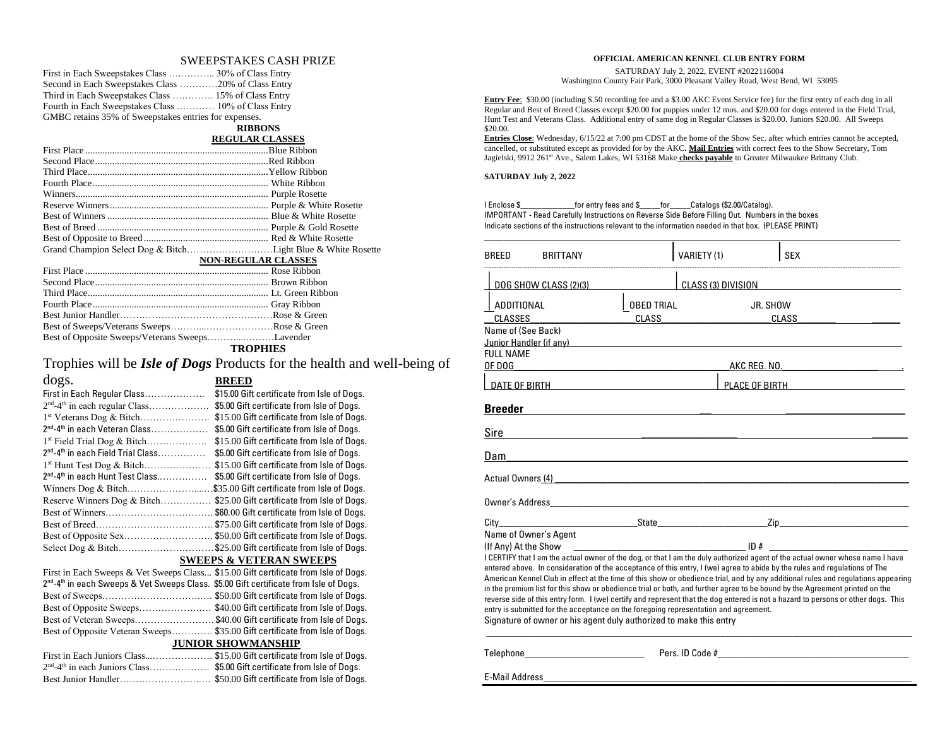#### SWEEPSTAKES CASH PRIZE

| Second in Each Sweepstakes Class 20% of Class Entry   |  |
|-------------------------------------------------------|--|
| Third in Each Sweepstakes Class  15% of Class Entry   |  |
| Fourth in Each Sweepstakes Class  10% of Class Entry  |  |
| GMBC retains 35% of Sweepstakes entries for expenses. |  |

#### **RIBBONS**

#### **REGULAR CLASSES**

|                                                 | <b>NON-REGULAR CLASSES</b> |
|-------------------------------------------------|----------------------------|
|                                                 |                            |
|                                                 |                            |
|                                                 |                            |
|                                                 |                            |
|                                                 |                            |
|                                                 |                            |
| Best of Opposite Sweeps/Veterans SweepsLavender |                            |
|                                                 | TDADHIRC                   |

#### **TROPHIES**

Trophies will be *Isle of Dogs* Products for the health and well-being of

#### dogs. **BREED** First in Each Regular Class……………………… \$15.00 Gift certificate from Isle of Dogs. 2<sup>nd</sup>-4<sup>th</sup> in each regular Class…………………… \$5.00 Gift certificate from Isle of Dogs. 1 st Veterans Dog & Bitch…………………. \$15.00 Gift certificate from Isle of Dogs. 2<sup>nd</sup>-4<sup>th</sup> in each Veteran Class………………… \$5.00 Gift certificate from Isle of Dogs. 1 st Field Trial Dog & Bitch………………. \$15.00 Gift certificate from Isle of Dogs. 2<sup>nd</sup>-4<sup>th</sup> in each Field Trial Class……………… \$5.00 Gift certificate from Isle of Dogs. 1<sup>st</sup> Hunt Test Dog & Bitch......................\$15.00 Gift certificate from Isle of Dogs. 2<sup>nd</sup>-4<sup>th</sup> in each Hunt Test Class....................\$5.00 Gift certificate from Isle of Dogs. Winners Dog & Bitch.............................\$35.00 Gift certificate from Isle of Dogs. Reserve Winners Dog & Bitch…………... \$25.00 Gift certificate from Isle of Dogs. Best of Winners……………………………………… \$60.00 Gift certificate from Isle of Dogs. Best of Breed…………………………………… \$75.00 Gift certificate from Isle of Dogs. Best of Opposite Sex............................. \$50.00 Gift certificate from Isle of Dogs. Select Dog & Bitch.............................\$25.00 Gift certificate from Isle of Dogs. **SWEEPS & VETERAN SWEEPS** First in Each Sweeps & Vet Sweeps Class... \$15.00 Gift certificate from Isle of Dogs. 2<sup>nd</sup>-4<sup>th</sup> in each Sweeps & Vet Sweeps Class. \$5.00 Gift certificate from Isle of Dogs. Best of Sweeps………………………….…. \$50.00 Gift certificate from Isle of Dogs. Best of Opposite Sweeps...........................\$40.00 Gift certificate from Isle of Dogs. Best of Veteran Sweeps……………………. \$40.00 Gift certificate from Isle of Dogs. Best of Opposite Veteran Sweeps…………. \$35.00 Gift certificate from Isle of Dogs. **JUNIOR SHOWMANSHIP**

| First in Each Juniors Class\$15.00 Gift certificate from Isle of Dogs.                 |  |
|----------------------------------------------------------------------------------------|--|
| $2nd$ -4 <sup>th</sup> in each Juniors Class\$5.00 Gift certificate from Isle of Dogs. |  |
|                                                                                        |  |

#### **OFFICIAL AMERICAN KENNEL CLUB ENTRY FORM**

SATURDAY July 2, 2022, EVENT #2022116004 Washington County Fair Park, 3000 Pleasant Valley Road, West Bend, WI 53095

**Entry Fee**: \$30.00 (including \$.50 recording fee and a \$3.00 AKC Event Service fee) for the first entry of each dog in all Regular and Best of Breed Classes except \$20.00 for puppies under 12 mos. and \$20.00 for dogs entered in the Field Trial, Hunt Test and Veterans Class. Additional entry of same dog in Regular Classes is \$20.00. Juniors \$20.00. All Sweeps \$20.00.

**Entries Close**: Wednesday, 6/15/22 at 7:00 pm CDST at the home of the Show Sec. after which entries cannot be accepted, cancelled, or substituted except as provided for by the AKC**. Mail Entries** with correct fees to the Show Secretary, Tom Jagielski, 9912 261<sup>st</sup> Ave., Salem Lakes, WI 53168 Make **checks payable** to Greater Milwaukee Brittany Club.

#### **SATURDAY July 2, 2022**

I Enclose \$\_\_\_\_\_\_\_\_\_\_\_\_\_for entry fees and \$\_\_\_\_\_for\_\_\_\_\_Catalogs (\$2.00/Catalog). IMPORTANT - Read Carefully Instructions on Reverse Side Before Filling Out. Numbers in the boxes Indicate sections of the instructions relevant to the information needed in that box. (PLEASE PRINT)

| <b>BREED</b>                                          | <b>BRITTANY</b>                                                                                                                                            |                                   | VARIETY (1) |                    | <b>SEX</b>                                                                                                                                                                                                                                                                                                                                                                                                                                                                                                                                                                                                                                                                                                                                                                                                                                                                                                                                                                   |
|-------------------------------------------------------|------------------------------------------------------------------------------------------------------------------------------------------------------------|-----------------------------------|-------------|--------------------|------------------------------------------------------------------------------------------------------------------------------------------------------------------------------------------------------------------------------------------------------------------------------------------------------------------------------------------------------------------------------------------------------------------------------------------------------------------------------------------------------------------------------------------------------------------------------------------------------------------------------------------------------------------------------------------------------------------------------------------------------------------------------------------------------------------------------------------------------------------------------------------------------------------------------------------------------------------------------|
| DOG SHOW CLASS (2)(3)                                 |                                                                                                                                                            |                                   |             | CLASS (3) DIVISION |                                                                                                                                                                                                                                                                                                                                                                                                                                                                                                                                                                                                                                                                                                                                                                                                                                                                                                                                                                              |
| ADDITIONAL<br><b>CLASSES</b><br>Name of (See Back)    |                                                                                                                                                            | <b>OBED TRIAL</b><br><b>CLASS</b> |             | JR. SHOW           | CLASS                                                                                                                                                                                                                                                                                                                                                                                                                                                                                                                                                                                                                                                                                                                                                                                                                                                                                                                                                                        |
| <b>FULL NAME</b><br>OF DOG                            | Junior Handler (if any) Show that the state of the state of the state of the state of the state of the state o                                             |                                   |             |                    | AKC REG. NO.                                                                                                                                                                                                                                                                                                                                                                                                                                                                                                                                                                                                                                                                                                                                                                                                                                                                                                                                                                 |
| DATE OF BIRTH                                         |                                                                                                                                                            |                                   |             |                    | PLACE OF BIRTH                                                                                                                                                                                                                                                                                                                                                                                                                                                                                                                                                                                                                                                                                                                                                                                                                                                                                                                                                               |
| <b>Breeder</b>                                        |                                                                                                                                                            |                                   |             |                    |                                                                                                                                                                                                                                                                                                                                                                                                                                                                                                                                                                                                                                                                                                                                                                                                                                                                                                                                                                              |
| Sire                                                  |                                                                                                                                                            |                                   |             |                    |                                                                                                                                                                                                                                                                                                                                                                                                                                                                                                                                                                                                                                                                                                                                                                                                                                                                                                                                                                              |
| Dam                                                   |                                                                                                                                                            |                                   |             |                    |                                                                                                                                                                                                                                                                                                                                                                                                                                                                                                                                                                                                                                                                                                                                                                                                                                                                                                                                                                              |
|                                                       | Actual Owners (4) Manual Communication of the Communication of the Communication of the Communication of the Co                                            |                                   |             |                    |                                                                                                                                                                                                                                                                                                                                                                                                                                                                                                                                                                                                                                                                                                                                                                                                                                                                                                                                                                              |
|                                                       |                                                                                                                                                            |                                   |             |                    |                                                                                                                                                                                                                                                                                                                                                                                                                                                                                                                                                                                                                                                                                                                                                                                                                                                                                                                                                                              |
| City<br>Name of Owner's Agent<br>(If Any) At the Show | entry is submitted for the acceptance on the foregoing representation and agreement.<br>Signature of owner or his agent duly authorized to make this entry |                                   |             |                    | <b>State</b> State <b>State</b> State <b>State</b> State <b>State</b> State <b>State</b> State <b>State</b> State <b>State</b> State <b>State</b> State <b>State</b> State <b>State</b> State <b>State</b> State <b>State</b> State <b>State</b> State <b>State</b> State State State State State St<br>I CERTIFY that I am the actual owner of the dog, or that I am the duly authorized agent of the actual owner whose name I have<br>entered above. In consideration of the acceptance of this entry, I (we) agree to abide by the rules and regulations of The<br>American Kennel Club in effect at the time of this show or obedience trial, and by any additional rules and regulations appearing<br>in the premium list for this show or obedience trial or both, and further agree to be bound by the Agreement printed on the<br>reverse side of this entry form. I (we) certify and represent that the dog entered is not a hazard to persons or other dogs. This |
|                                                       | Telephone____________________________                                                                                                                      |                                   |             |                    | Pers. ID Code #                                                                                                                                                                                                                                                                                                                                                                                                                                                                                                                                                                                                                                                                                                                                                                                                                                                                                                                                                              |

E-Mail Address\_\_\_\_\_\_\_\_\_\_\_\_\_\_\_\_\_\_\_\_\_\_\_\_\_\_\_\_\_\_\_\_\_\_\_\_\_\_\_\_\_\_\_\_\_\_\_\_\_\_\_\_\_\_\_\_\_\_\_\_\_\_\_\_\_\_\_\_\_\_\_\_\_\_\_\_\_